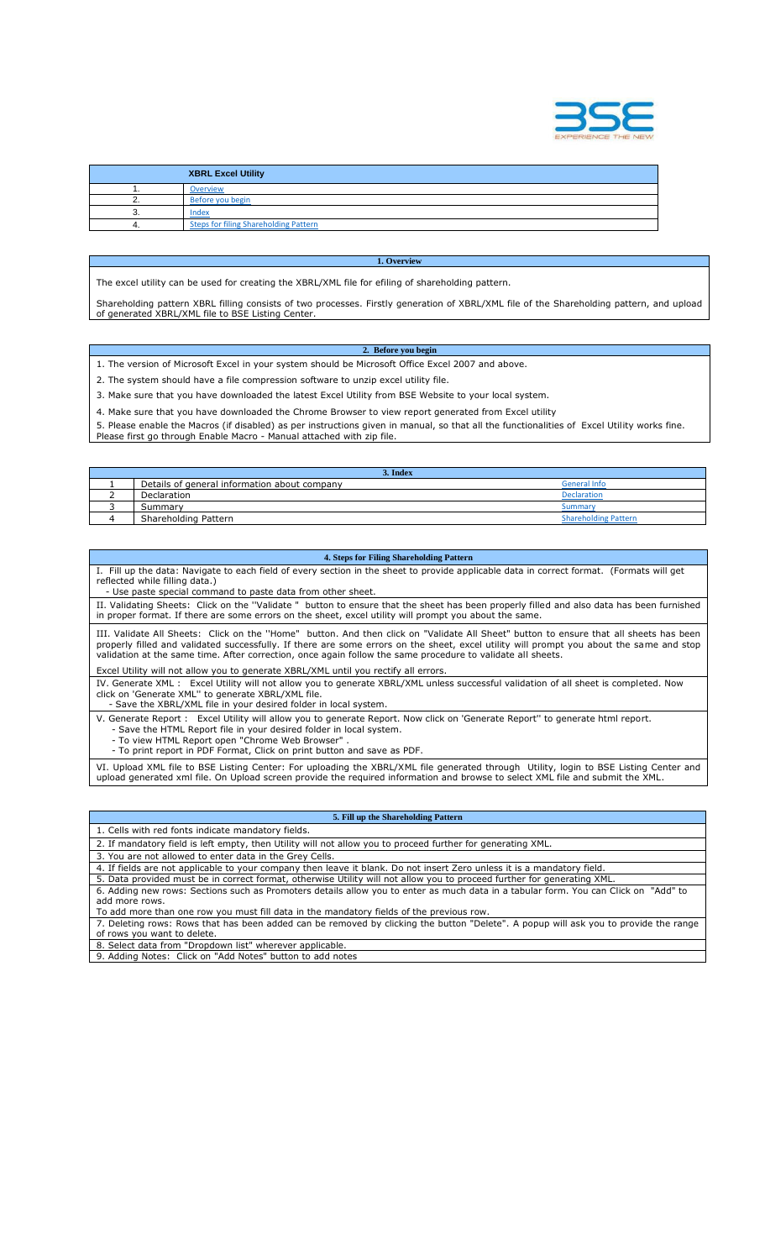

|    | <b>XBRL Excel Utility</b>                    |
|----|----------------------------------------------|
|    | Overview                                     |
|    | Before you begin                             |
| ω. | Index                                        |
|    | <b>Steps for filing Shareholding Pattern</b> |

The excel utility can be used for creating the XBRL/XML file for efiling of shareholding pattern.

Shareholding pattern XBRL filling consists of two processes. Firstly generation of XBRL/XML file of the Shareholding pattern, and upload of generated XBRL/XML file to BSE Listing Center.

**1. Overview** 

## **2. Before you begin**

- 1. The version of Microsoft Excel in your system should be Microsoft Office Excel 2007 and above.
- 2. The system should have a file compression software to unzip excel utility file.
- 3. Make sure that you have downloaded the latest Excel Utility from BSE Website to your local system.

4. Make sure that you have downloaded the Chrome Browser to view report generated from Excel utility

5. Please enable the Macros (if disabled) as per instructions given in manual, so that all the functionalities of Excel Utility works fine. Please first go through Enable Macro - Manual attached with zip file.

| 3. Index                                     |                             |
|----------------------------------------------|-----------------------------|
| Details of general information about company | General Info                |
| Declaration                                  | <b>Declaration</b>          |
| Summary                                      | Summary                     |
| Shareholding Pattern                         | <b>Shareholding Pattern</b> |

## **4. Steps for Filing Shareholding Pattern**

Fill up the data: Navigate to each field of every section in the sheet to provide applicable data in correct format. (Formats will get reflected while filling data.)

- Use paste special command to paste data from other sheet.

II. Validating Sheets: Click on the ''Validate " button to ensure that the sheet has been properly filled and also data has been furnished in proper format. If there are some errors on the sheet, excel utility will prompt you about the same.

III. Validate All Sheets: Click on the ''Home" button. And then click on "Validate All Sheet" button to ensure that all sheets has been properly filled and validated successfully. If there are some errors on the sheet, excel utility will prompt you about the same and stop validation at the same time. After correction, once again follow the same procedure to validate all sheets.

cel Utility will not allow you to generate XBRL/XML until you rectify all errors.

IV. Generate XML : Excel Utility will not allow you to generate XBRL/XML unless successful validation of all sheet is completed. Now click on 'Generate XML'' to generate XBRL/XML file.

Save the XBRL/XML file in your desired folder in local system.

V. Generate Report : Excel Utility will allow you to generate Report. Now click on 'Generate Report'' to generate html report. - Save the HTML Report file in your desired folder in local system.

- To view HTML Report open "Chrome Web Browser" .

- To print report in PDF Format, Click on print button and save as PDF.

VI. Upload XML file to BSE Listing Center: For uploading the XBRL/XML file generated through Utility, login to BSE Listing Center and upload generated xml file. On Upload screen provide the required information and browse to select XML file and submit the XML.

## **5. Fill up the Shareholding Pattern**

- 1. Cells with red fonts indicate mandatory fields. 2. If mandatory field is left empty, then Utility will not allow you to proceed further for generating XML.
- 3. You are not allowed to enter data in the Grey Cells.

- 4. If fields are not applicable to your company then leave it blank. Do not insert Zero unless it is a mandatory field.
- 5. Data provided must be in correct format, otherwise Utility will not allow you to proceed further for generating XML. 6. Adding new rows: Sections such as Promoters details allow you to enter as much data in a tabular form. You can Click on "Add" to

add more rows. To add more than one row you must fill data in the mandatory fields of the previous row.

7. Deleting rows: Rows that has been added can be removed by clicking the button "Delete". A popup will ask you to provide the range of rows you want to delete.

8. Select data from "Dropdown list" wherever applicable.

9. Adding Notes: Click on "Add Notes" button to add notes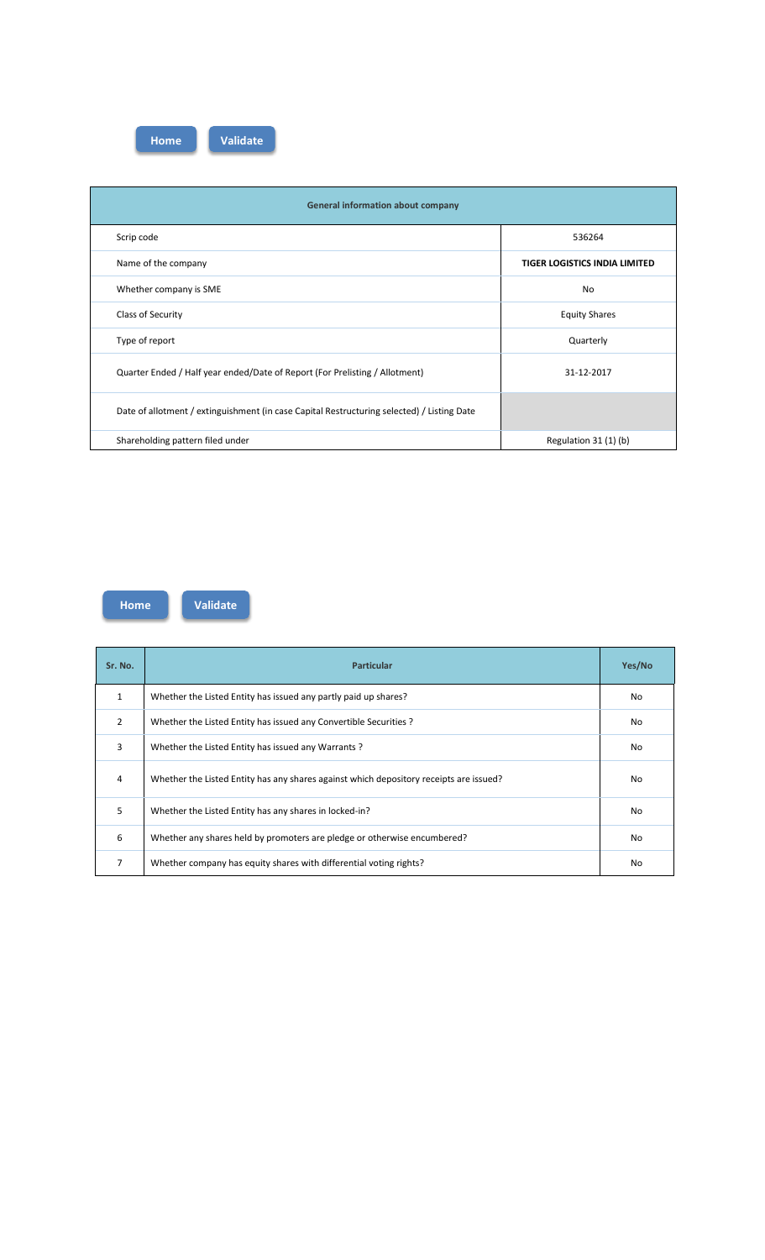**Home Validate**

| <b>General information about company</b>                                                   |                                      |
|--------------------------------------------------------------------------------------------|--------------------------------------|
| Scrip code                                                                                 | 536264                               |
| Name of the company                                                                        | <b>TIGER LOGISTICS INDIA LIMITED</b> |
| Whether company is SME                                                                     | <b>No</b>                            |
| Class of Security                                                                          | <b>Equity Shares</b>                 |
| Type of report                                                                             | Quarterly                            |
| Quarter Ended / Half year ended/Date of Report (For Prelisting / Allotment)                | 31-12-2017                           |
| Date of allotment / extinguishment (in case Capital Restructuring selected) / Listing Date |                                      |
| Shareholding pattern filed under                                                           | Regulation 31 (1) (b)                |

**Home Validate**

| Sr. No.        | <b>Particular</b>                                                                      | Yes/No         |
|----------------|----------------------------------------------------------------------------------------|----------------|
| $\mathbf{1}$   | Whether the Listed Entity has issued any partly paid up shares?                        | <b>No</b>      |
| $\overline{2}$ | Whether the Listed Entity has issued any Convertible Securities ?                      | <b>No</b>      |
| 3              | Whether the Listed Entity has issued any Warrants?                                     | <b>No</b>      |
| 4              | Whether the Listed Entity has any shares against which depository receipts are issued? | N <sub>0</sub> |
| 5              | Whether the Listed Entity has any shares in locked-in?                                 | <b>No</b>      |
| 6              | Whether any shares held by promoters are pledge or otherwise encumbered?               | <b>No</b>      |
| 7              | Whether company has equity shares with differential voting rights?                     | <b>No</b>      |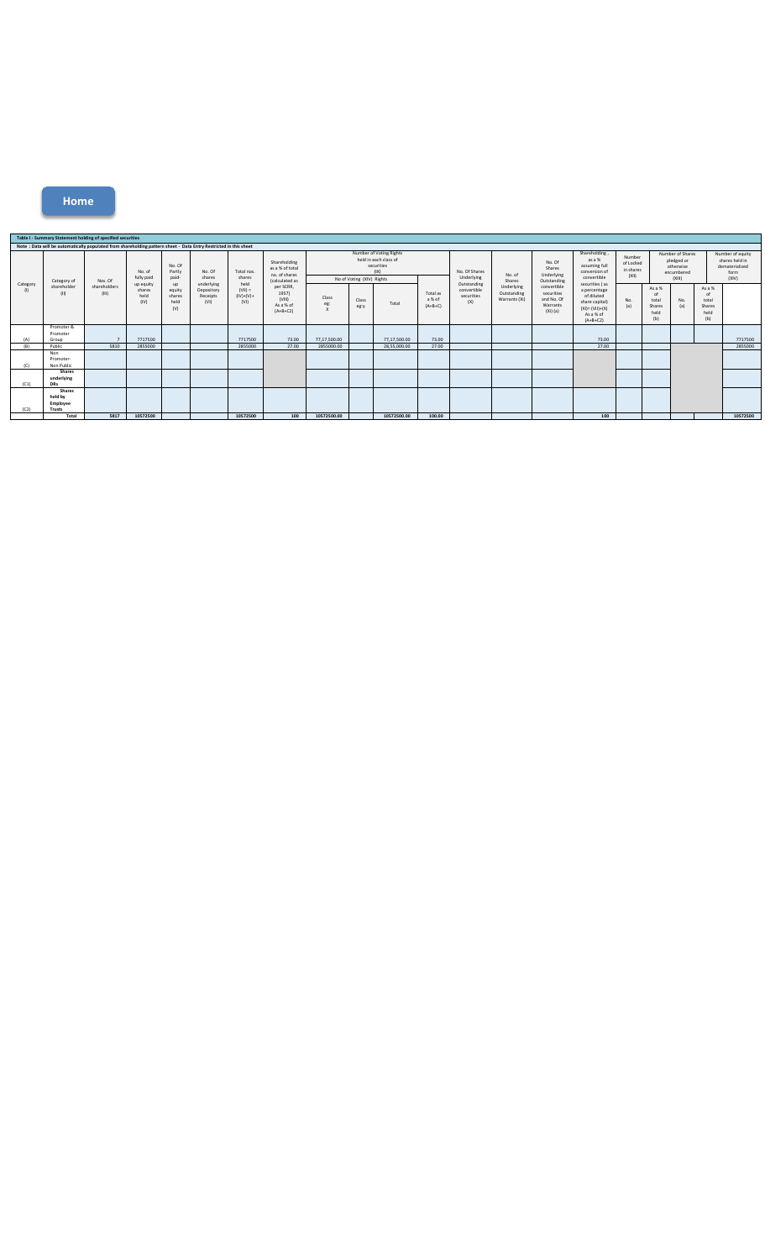**Home**

|                 |                                                | Table I - Summary Statement holding of specified securities                                                      |                                     |                                              |                                              |                                          |                                                                           |                                                                                                    |               |              |                                 |                                                 |                                                      |                                                                                  |                                                                                                                 |                                                                     |                                                |            |                                                                       |          |
|-----------------|------------------------------------------------|------------------------------------------------------------------------------------------------------------------|-------------------------------------|----------------------------------------------|----------------------------------------------|------------------------------------------|---------------------------------------------------------------------------|----------------------------------------------------------------------------------------------------|---------------|--------------|---------------------------------|-------------------------------------------------|------------------------------------------------------|----------------------------------------------------------------------------------|-----------------------------------------------------------------------------------------------------------------|---------------------------------------------------------------------|------------------------------------------------|------------|-----------------------------------------------------------------------|----------|
|                 |                                                | Note: Data will be automatically populated from shareholding pattern sheet - Data Entry Restricted in this sheet |                                     |                                              |                                              |                                          |                                                                           |                                                                                                    |               |              |                                 |                                                 |                                                      |                                                                                  |                                                                                                                 |                                                                     |                                                |            |                                                                       |          |
|                 |                                                |                                                                                                                  | No. of<br>fully paid                | No. Of<br>Partly<br>paid-                    | No. Of<br>shares                             | Total nos.<br>shares                     | Shareholding<br>as a % of total<br>no. of shares                          | Number of Voting Rights<br>held in each class of<br>securities<br>(X)<br>No of Voting (XIV) Rights |               |              | No. Of Shares<br>Underlying     | No. of                                          | No. Of<br>Shares<br>Underlying                       | Shareholding,<br>as a %<br>assuming full<br>conversion of<br>convertible         | Number<br>of Locked<br>in shares<br>(XII)                                                                       | Number of Shares<br>pledged or<br>otherwise<br>encumbered<br>(XIII) |                                                |            | Number of equity<br>shares held in<br>dematerialized<br>form<br>(XIV) |          |
| Category<br>(1) | Category of<br>shareholder<br>(II)             | Nos. Of<br>shareholders<br>(III)                                                                                 | up equity<br>shares<br>held<br>(IV) | <b>UD</b><br>equity<br>shares<br>held<br>(V) | underlying<br>Depository<br>Receipts<br>(VI) | held<br>$(V  ) =$<br>$(IV)+(V)+$<br>(VI) | (calculated as<br>per SCRR,<br>1957)<br>(VIII)<br>As a % of<br>$(A+B+C2)$ | Class<br>eg:<br>$\mathsf{x}$                                                                       | Class<br>eg:y | Total        | Total as<br>a % of<br>$(A+B+C)$ | Outstanding<br>convertible<br>securities<br>(X) | Shares<br>Underlying<br>Outstanding<br>Warrants (Xi) | Outstanding<br>convertible<br>securities<br>and No. Of<br>Warrants<br>$(Xi)$ (a) | securities (as<br>a percentage<br>of diluted<br>share capital)<br>$(XI) = (VII)+(X)$<br>As a % of<br>$(A+B+C2)$ | No.<br>(a)                                                          | As a %<br>nt<br>total<br>Shares<br>held<br>(b) | No.<br>(a) | As a %<br>nf<br>total<br>Shares<br>held<br>(b)                        |          |
| (A)             | Promoter &<br>Promoter<br>Group                |                                                                                                                  | 7717500                             |                                              |                                              | 7717500                                  | 73.00                                                                     | 77.17.500.00                                                                                       |               | 77.17.500.00 | 73.00                           |                                                 |                                                      |                                                                                  | 73.00                                                                                                           |                                                                     |                                                |            |                                                                       | 7717500  |
| (R)             | Public                                         | 5810                                                                                                             | 2855000                             |                                              |                                              | 2855000                                  | 27.00                                                                     | 2855000.00                                                                                         |               | 28,55,000.00 | 27.00                           |                                                 |                                                      |                                                                                  | 27.00                                                                                                           |                                                                     |                                                |            |                                                                       | 2855000  |
| (C)             | Non<br>Promoter-<br>Non Public                 |                                                                                                                  |                                     |                                              |                                              |                                          |                                                                           |                                                                                                    |               |              |                                 |                                                 |                                                      |                                                                                  |                                                                                                                 |                                                                     |                                                |            |                                                                       |          |
| (C1)            | <b>Shares</b><br>underlying<br><b>DRs</b>      |                                                                                                                  |                                     |                                              |                                              |                                          |                                                                           |                                                                                                    |               |              |                                 |                                                 |                                                      |                                                                                  |                                                                                                                 |                                                                     |                                                |            |                                                                       |          |
| (C2)            | <b>Shares</b><br>held by<br>Employee<br>Trusts |                                                                                                                  |                                     |                                              |                                              |                                          |                                                                           |                                                                                                    |               |              |                                 |                                                 |                                                      |                                                                                  |                                                                                                                 |                                                                     |                                                |            |                                                                       |          |
|                 | Total                                          | 5817                                                                                                             | 10572500                            |                                              |                                              | 10572500                                 | 100                                                                       | 10572500.00                                                                                        |               | 10572500.00  | 100.00                          |                                                 |                                                      |                                                                                  | 100                                                                                                             |                                                                     |                                                |            |                                                                       | 10572500 |